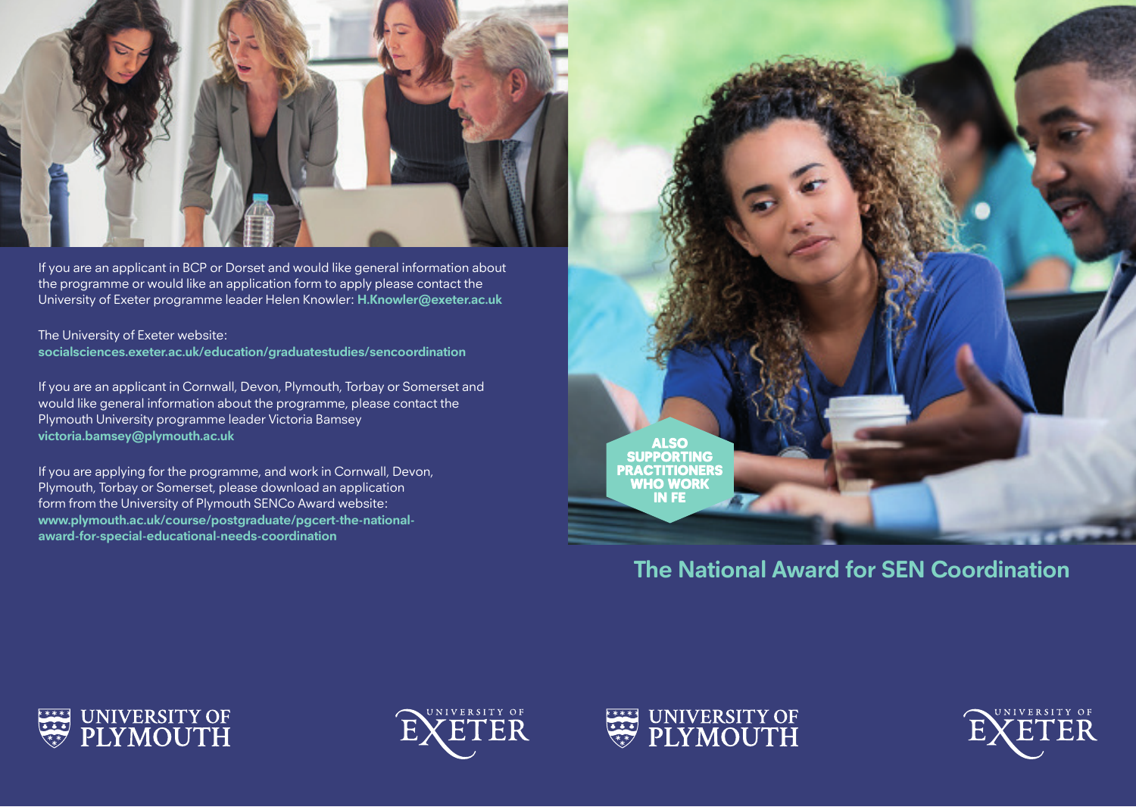

If you are an applicant in BCP or Dorset and would like general information about the programme or would like an application form to apply please contact the University of Exeter programme leader Helen Knowler: **H.Knowler@exeter.ac.uk**

The University of Exeter website: **socialsciences.exeter.ac.uk/education/graduatestudies/sencoordination**

If you are an applicant in Cornwall, Devon, Plymouth, Torbay or Somerset and would like general information about the programme, please contact the Plymouth University programme leader Victoria Bamsey **victoria.bamsey@plymouth.ac.uk** 

If you are applying for the programme, and work in Cornwall, Devon, Plymouth, Torbay or Somerset, please download an application form from the University of Plymouth SENCo Award website: **www.plymouth.ac.uk/course/postgraduate/pgcert-the-nationalaward-for-special-educational-needs-coordination**



**The National Award for SEN Coordination**

![](_page_0_Picture_7.jpeg)

![](_page_0_Picture_8.jpeg)

![](_page_0_Picture_9.jpeg)

![](_page_0_Picture_10.jpeg)